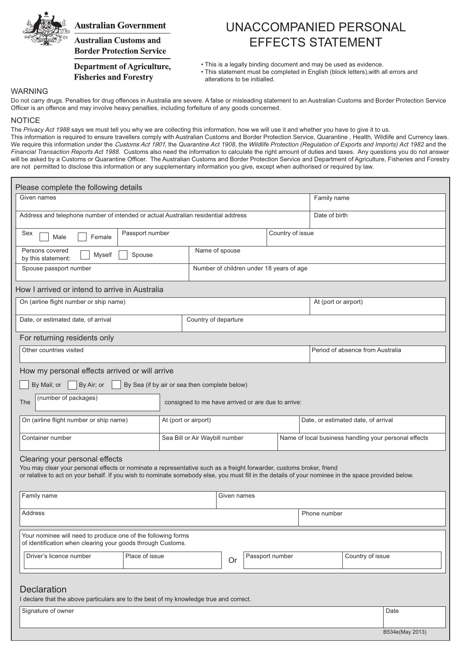

## **Australian Government**

**Australian Customs and Border Protection Service** 

### **Department of Agriculture, Fisheries and Forestry**

# UNACCOMPANIED PERSONAL EFFECTS STATEMENT

• This is a legally binding document and may be used as evidence.

• This statement must be completed in English (block letters), with all errors and alterations to be initialled.

B534e(May 2013)

#### WARNING

Do not carry drugs. Penalties for drug offences in Australia are severe. A false or misleading statement to an Australian Customs and Border Protection Service Officer is an offence and may involve heavy penalties, including forfeiture of any goods concerned.

#### **NOTICE**

The Privacy Act 1988 says we must tell you why we are collecting this information, how we will use it and whether you have to give it to us. This information is required to ensure travellers comply with Australian Customs and Border Protection Service, Quarantine, Health, Wildlife and Currency laws. We require this information under the *Customs Act 1901*, the Quarantine Act 1908, the Wildlife Protection (Regulation of Exports and Imports) Act 1982 and the Financial Transaction Reports Act 1988. Customs also need the information to calculate the right amount of duties and taxes. Any questions you do not answer will be asked by a Customs or Quarantine Officer. The Australian Customs and Border Protection Service and Department of Agriculture. Fisheries and Forestry are not permitted to disclose this information or any supplementary information you give, except when authorised or required by law.

| Please complete the following details                                                                                                                                                                                                                                                                         |                                               |                                          |             |                                                       |  |
|---------------------------------------------------------------------------------------------------------------------------------------------------------------------------------------------------------------------------------------------------------------------------------------------------------------|-----------------------------------------------|------------------------------------------|-------------|-------------------------------------------------------|--|
| Given names                                                                                                                                                                                                                                                                                                   |                                               |                                          | Family name |                                                       |  |
| Address and telephone number of intended or actual Australian residential address                                                                                                                                                                                                                             |                                               |                                          |             | Date of birth                                         |  |
| Passport number<br>Country of issue<br>Sex<br>Male<br>Female                                                                                                                                                                                                                                                  |                                               |                                          |             |                                                       |  |
| Persons covered<br>Myself<br>Spouse<br>by this statement:                                                                                                                                                                                                                                                     | Name of spouse                                |                                          |             |                                                       |  |
| Spouse passport number                                                                                                                                                                                                                                                                                        |                                               | Number of children under 18 years of age |             |                                                       |  |
| How I arrived or intend to arrive in Australia                                                                                                                                                                                                                                                                |                                               |                                          |             |                                                       |  |
| On (airline flight number or ship name)                                                                                                                                                                                                                                                                       |                                               |                                          |             | At (port or airport)                                  |  |
| Date, or estimated date, of arrival                                                                                                                                                                                                                                                                           | Country of departure                          |                                          |             |                                                       |  |
| For returning residents only                                                                                                                                                                                                                                                                                  |                                               |                                          |             |                                                       |  |
| Other countries visited                                                                                                                                                                                                                                                                                       |                                               |                                          |             | Period of absence from Australia                      |  |
| How my personal effects arrived or will arrive                                                                                                                                                                                                                                                                |                                               |                                          |             |                                                       |  |
| By Air; or<br>By Mail; or                                                                                                                                                                                                                                                                                     | By Sea (if by air or sea then complete below) |                                          |             |                                                       |  |
| (number of packages)<br><b>The</b><br>consigned to me have arrived or are due to arrive:                                                                                                                                                                                                                      |                                               |                                          |             |                                                       |  |
| On (airline flight number or ship name)                                                                                                                                                                                                                                                                       | At (port or airport)                          |                                          |             | Date, or estimated date, of arrival                   |  |
| Container number                                                                                                                                                                                                                                                                                              | Sea Bill or Air Waybill number                |                                          |             | Name of local business handling your personal effects |  |
| Clearing your personal effects<br>You may clear your personal effects or nominate a representative such as a freight forwarder, customs broker, friend<br>or relative to act on your behalf. If you wish to nominate somebody else, you must fill in the details of your nominee in the space provided below. |                                               |                                          |             |                                                       |  |
| Family name                                                                                                                                                                                                                                                                                                   |                                               | Given names                              |             |                                                       |  |
| Address                                                                                                                                                                                                                                                                                                       |                                               |                                          |             | Phone number                                          |  |
| Your nominee will need to produce one of the following forms<br>of identification when clearing your goods through Customs.                                                                                                                                                                                   |                                               |                                          |             |                                                       |  |
| Driver's licence number<br>Place of issue                                                                                                                                                                                                                                                                     |                                               | Passport number<br><b>Or</b>             |             | Country of issue                                      |  |
| <b>Declaration</b><br>I declare that the above particulars are to the best of my knowledge true and correct.<br>Signature of owner                                                                                                                                                                            |                                               |                                          |             | Date                                                  |  |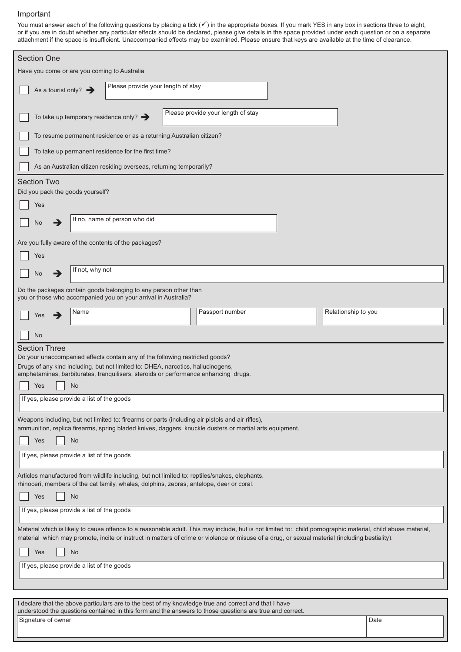#### Important

You must answer each of the following questions by placing a tick  $(v)$  in the appropriate boxes. If you mark YES in any box in sections three to eight, or if you are in doubt whether any particular effects should be decla attachment if the space is insufficient. Unaccompanied effects may be examined. Please ensure that keys are available at the time of clearance.

| <b>Section One</b>                                                                                                                                                                                                                                                                                             |                                                                     |                                    |  |                     |  |  |
|----------------------------------------------------------------------------------------------------------------------------------------------------------------------------------------------------------------------------------------------------------------------------------------------------------------|---------------------------------------------------------------------|------------------------------------|--|---------------------|--|--|
| Have you come or are you coming to Australia                                                                                                                                                                                                                                                                   |                                                                     |                                    |  |                     |  |  |
| As a tourist only? $\rightarrow$                                                                                                                                                                                                                                                                               | Please provide your length of stay                                  |                                    |  |                     |  |  |
| To take up temporary residence only? $\rightarrow$                                                                                                                                                                                                                                                             |                                                                     | Please provide your length of stay |  |                     |  |  |
|                                                                                                                                                                                                                                                                                                                | To resume permanent residence or as a returning Australian citizen? |                                    |  |                     |  |  |
| To take up permanent residence for the first time?                                                                                                                                                                                                                                                             |                                                                     |                                    |  |                     |  |  |
|                                                                                                                                                                                                                                                                                                                | As an Australian citizen residing overseas, returning temporarily?  |                                    |  |                     |  |  |
| <b>Section Two</b>                                                                                                                                                                                                                                                                                             |                                                                     |                                    |  |                     |  |  |
| Did you pack the goods yourself?                                                                                                                                                                                                                                                                               |                                                                     |                                    |  |                     |  |  |
| Yes                                                                                                                                                                                                                                                                                                            | If no, name of person who did                                       |                                    |  |                     |  |  |
| No<br>→                                                                                                                                                                                                                                                                                                        |                                                                     |                                    |  |                     |  |  |
| Are you fully aware of the contents of the packages?                                                                                                                                                                                                                                                           |                                                                     |                                    |  |                     |  |  |
| Yes                                                                                                                                                                                                                                                                                                            |                                                                     |                                    |  |                     |  |  |
| If not, why not<br>→<br>No                                                                                                                                                                                                                                                                                     |                                                                     |                                    |  |                     |  |  |
| Do the packages contain goods belonging to any person other than<br>you or those who accompanied you on your arrival in Australia?                                                                                                                                                                             |                                                                     |                                    |  |                     |  |  |
| Name<br>∍<br>Yes                                                                                                                                                                                                                                                                                               |                                                                     | Passport number                    |  | Relationship to you |  |  |
| No                                                                                                                                                                                                                                                                                                             |                                                                     |                                    |  |                     |  |  |
| <b>Section Three</b>                                                                                                                                                                                                                                                                                           |                                                                     |                                    |  |                     |  |  |
| Do your unaccompanied effects contain any of the following restricted goods?<br>Drugs of any kind including, but not limited to: DHEA, narcotics, hallucinogens,                                                                                                                                               |                                                                     |                                    |  |                     |  |  |
| amphetamines, barbiturates, tranquilisers, steroids or performance enhancing drugs.<br>No<br>Yes                                                                                                                                                                                                               |                                                                     |                                    |  |                     |  |  |
| If yes, please provide a list of the goods                                                                                                                                                                                                                                                                     |                                                                     |                                    |  |                     |  |  |
| Weapons including, but not limited to: firearms or parts (including air pistols and air rifles),                                                                                                                                                                                                               |                                                                     |                                    |  |                     |  |  |
| ammunition, replica firearms, spring bladed knives, daggers, knuckle dusters or martial arts equipment.                                                                                                                                                                                                        |                                                                     |                                    |  |                     |  |  |
| Yes<br>No                                                                                                                                                                                                                                                                                                      |                                                                     |                                    |  |                     |  |  |
| If yes, please provide a list of the goods                                                                                                                                                                                                                                                                     |                                                                     |                                    |  |                     |  |  |
| Articles manufactured from wildlife including, but not limited to: reptiles/snakes, elephants,<br>rhinoceri, members of the cat family, whales, dolphins, zebras, antelope, deer or coral.                                                                                                                     |                                                                     |                                    |  |                     |  |  |
| Yes<br><b>No</b>                                                                                                                                                                                                                                                                                               |                                                                     |                                    |  |                     |  |  |
| If yes, please provide a list of the goods                                                                                                                                                                                                                                                                     |                                                                     |                                    |  |                     |  |  |
| Material which is likely to cause offence to a reasonable adult. This may include, but is not limited to: child pornographic material, child abuse material,<br>material which may promote, incite or instruct in matters of crime or violence or misuse of a drug, or sexual material (including bestiality). |                                                                     |                                    |  |                     |  |  |
| No<br>Yes                                                                                                                                                                                                                                                                                                      |                                                                     |                                    |  |                     |  |  |
| If yes, please provide a list of the goods                                                                                                                                                                                                                                                                     |                                                                     |                                    |  |                     |  |  |
|                                                                                                                                                                                                                                                                                                                |                                                                     |                                    |  |                     |  |  |
| I declare that the above particulars are to the best of my knowledge true and correct and that I have                                                                                                                                                                                                          |                                                                     |                                    |  |                     |  |  |
| understood the questions contained in this form and the answers to those questions are true and correct.<br>Signature of owner                                                                                                                                                                                 |                                                                     |                                    |  | Date                |  |  |
|                                                                                                                                                                                                                                                                                                                |                                                                     |                                    |  |                     |  |  |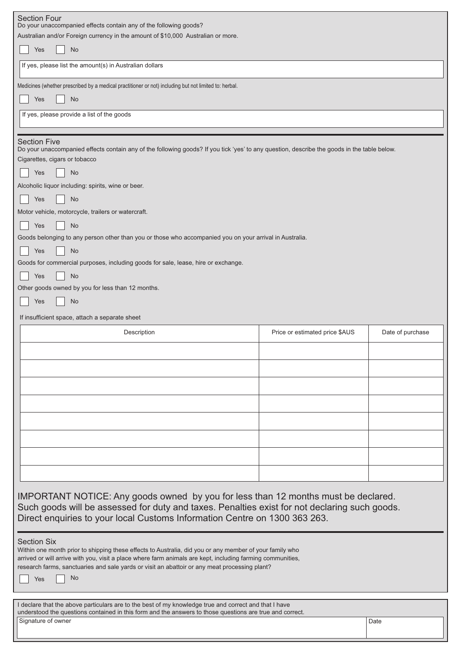| <b>Section Four</b>                                                                                                                                                                                                   |                                                    |                  |  |  |  |  |
|-----------------------------------------------------------------------------------------------------------------------------------------------------------------------------------------------------------------------|----------------------------------------------------|------------------|--|--|--|--|
| Do your unaccompanied effects contain any of the following goods?<br>Australian and/or Foreign currency in the amount of \$10,000 Australian or more.                                                                 |                                                    |                  |  |  |  |  |
| Yes<br>No                                                                                                                                                                                                             |                                                    |                  |  |  |  |  |
| If yes, please list the amount(s) in Australian dollars                                                                                                                                                               |                                                    |                  |  |  |  |  |
| Medicines (whether prescribed by a medical practitioner or not) including but not limited to: herbal.                                                                                                                 |                                                    |                  |  |  |  |  |
| Yes<br>No                                                                                                                                                                                                             |                                                    |                  |  |  |  |  |
| If yes, please provide a list of the goods                                                                                                                                                                            |                                                    |                  |  |  |  |  |
|                                                                                                                                                                                                                       |                                                    |                  |  |  |  |  |
| <b>Section Five</b><br>Do your unaccompanied effects contain any of the following goods? If you tick 'yes' to any question, describe the goods in the table below.                                                    |                                                    |                  |  |  |  |  |
| Cigarettes, cigars or tobacco                                                                                                                                                                                         |                                                    |                  |  |  |  |  |
| No<br>Yes                                                                                                                                                                                                             |                                                    |                  |  |  |  |  |
|                                                                                                                                                                                                                       | Alcoholic liquor including: spirits, wine or beer. |                  |  |  |  |  |
| Yes<br>No                                                                                                                                                                                                             |                                                    |                  |  |  |  |  |
| Motor vehicle, motorcycle, trailers or watercraft.                                                                                                                                                                    |                                                    |                  |  |  |  |  |
| Yes<br>No                                                                                                                                                                                                             |                                                    |                  |  |  |  |  |
| Goods belonging to any person other than you or those who accompanied you on your arrival in Australia.                                                                                                               |                                                    |                  |  |  |  |  |
| <b>No</b><br>Yes                                                                                                                                                                                                      |                                                    |                  |  |  |  |  |
| Goods for commercial purposes, including goods for sale, lease, hire or exchange.                                                                                                                                     |                                                    |                  |  |  |  |  |
| No<br>Yes                                                                                                                                                                                                             |                                                    |                  |  |  |  |  |
| Other goods owned by you for less than 12 months.                                                                                                                                                                     |                                                    |                  |  |  |  |  |
| No<br>Yes                                                                                                                                                                                                             |                                                    |                  |  |  |  |  |
| If insufficient space, attach a separate sheet                                                                                                                                                                        |                                                    |                  |  |  |  |  |
|                                                                                                                                                                                                                       |                                                    |                  |  |  |  |  |
|                                                                                                                                                                                                                       |                                                    |                  |  |  |  |  |
| Description                                                                                                                                                                                                           | Price or estimated price \$AUS                     | Date of purchase |  |  |  |  |
|                                                                                                                                                                                                                       |                                                    |                  |  |  |  |  |
|                                                                                                                                                                                                                       |                                                    |                  |  |  |  |  |
|                                                                                                                                                                                                                       |                                                    |                  |  |  |  |  |
|                                                                                                                                                                                                                       |                                                    |                  |  |  |  |  |
|                                                                                                                                                                                                                       |                                                    |                  |  |  |  |  |
|                                                                                                                                                                                                                       |                                                    |                  |  |  |  |  |
|                                                                                                                                                                                                                       |                                                    |                  |  |  |  |  |
|                                                                                                                                                                                                                       |                                                    |                  |  |  |  |  |
|                                                                                                                                                                                                                       |                                                    |                  |  |  |  |  |
|                                                                                                                                                                                                                       |                                                    |                  |  |  |  |  |
|                                                                                                                                                                                                                       |                                                    |                  |  |  |  |  |
|                                                                                                                                                                                                                       |                                                    |                  |  |  |  |  |
| IMPORTANT NOTICE: Any goods owned by you for less than 12 months must be declared.                                                                                                                                    |                                                    |                  |  |  |  |  |
| Such goods will be assessed for duty and taxes. Penalties exist for not declaring such goods.                                                                                                                         |                                                    |                  |  |  |  |  |
| Direct enquiries to your local Customs Information Centre on 1300 363 263.                                                                                                                                            |                                                    |                  |  |  |  |  |
|                                                                                                                                                                                                                       |                                                    |                  |  |  |  |  |
| <b>Section Six</b>                                                                                                                                                                                                    |                                                    |                  |  |  |  |  |
| Within one month prior to shipping these effects to Australia, did you or any member of your family who<br>arrived or will arrive with you, visit a place where farm animals are kept, including farming communities, |                                                    |                  |  |  |  |  |
| research farms, sanctuaries and sale yards or visit an abattoir or any meat processing plant?                                                                                                                         |                                                    |                  |  |  |  |  |
| N <sub>o</sub><br>Yes                                                                                                                                                                                                 |                                                    |                  |  |  |  |  |
|                                                                                                                                                                                                                       |                                                    |                  |  |  |  |  |
| I declare that the above particulars are to the best of my knowledge true and correct and that I have                                                                                                                 |                                                    |                  |  |  |  |  |
| understood the questions contained in this form and the answers to those questions are true and correct.<br>Signature of owner                                                                                        |                                                    | Date             |  |  |  |  |

L